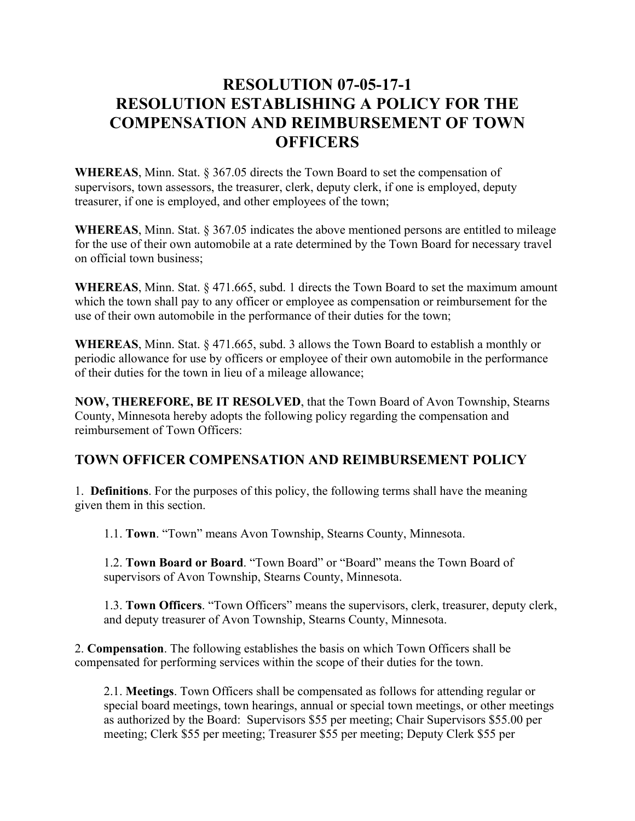## **RESOLUTION 07-05-17-1 RESOLUTION ESTABLISHING A POLICY FOR THE COMPENSATION AND REIMBURSEMENT OF TOWN OFFICERS**

**WHEREAS**, Minn. Stat. § 367.05 directs the Town Board to set the compensation of supervisors, town assessors, the treasurer, clerk, deputy clerk, if one is employed, deputy treasurer, if one is employed, and other employees of the town;

**WHEREAS**, Minn. Stat. § 367.05 indicates the above mentioned persons are entitled to mileage for the use of their own automobile at a rate determined by the Town Board for necessary travel on official town business;

**WHEREAS**, Minn. Stat. § 471.665, subd. 1 directs the Town Board to set the maximum amount which the town shall pay to any officer or employee as compensation or reimbursement for the use of their own automobile in the performance of their duties for the town;

**WHEREAS**, Minn. Stat. § 471.665, subd. 3 allows the Town Board to establish a monthly or periodic allowance for use by officers or employee of their own automobile in the performance of their duties for the town in lieu of a mileage allowance;

**NOW, THEREFORE, BE IT RESOLVED**, that the Town Board of Avon Township, Stearns County, Minnesota hereby adopts the following policy regarding the compensation and reimbursement of Town Officers:

## **TOWN OFFICER COMPENSATION AND REIMBURSEMENT POLICY**

1. **Definitions**. For the purposes of this policy, the following terms shall have the meaning given them in this section.

1.1. **Town**. "Town" means Avon Township, Stearns County, Minnesota.

1.2. **Town Board or Board**. "Town Board" or "Board" means the Town Board of supervisors of Avon Township, Stearns County, Minnesota.

1.3. **Town Officers**. "Town Officers" means the supervisors, clerk, treasurer, deputy clerk, and deputy treasurer of Avon Township, Stearns County, Minnesota.

2. **Compensation**. The following establishes the basis on which Town Officers shall be compensated for performing services within the scope of their duties for the town.

2.1. **Meetings**. Town Officers shall be compensated as follows for attending regular or special board meetings, town hearings, annual or special town meetings, or other meetings as authorized by the Board: Supervisors \$55 per meeting; Chair Supervisors \$55.00 per meeting; Clerk \$55 per meeting; Treasurer \$55 per meeting; Deputy Clerk \$55 per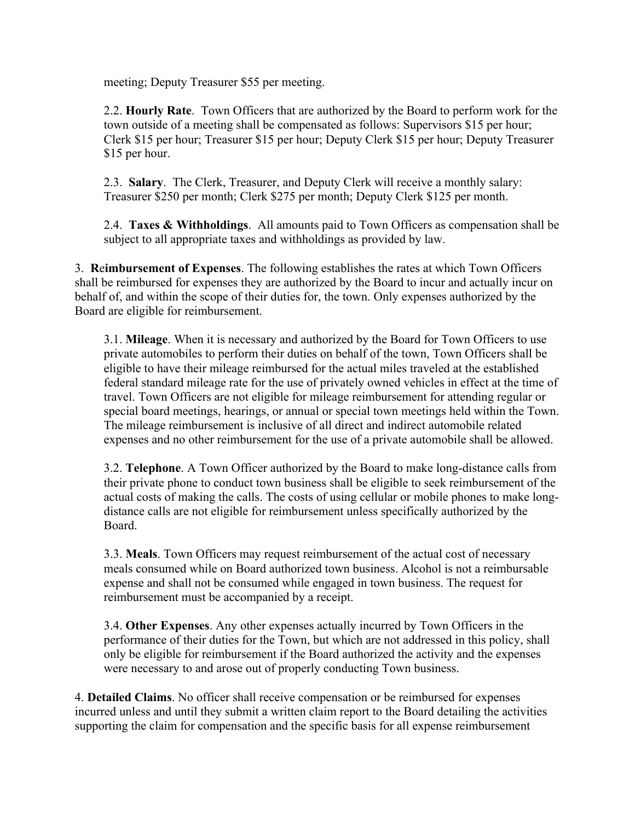meeting; Deputy Treasurer \$55 per meeting.

2.2. **Hourly Rate**. Town Officers that are authorized by the Board to perform work for the town outside of a meeting shall be compensated as follows: Supervisors \$15 per hour; Clerk \$15 per hour; Treasurer \$15 per hour; Deputy Clerk \$15 per hour; Deputy Treasurer \$15 per hour.

2.3. **Salary**. The Clerk, Treasurer, and Deputy Clerk will receive a monthly salary: Treasurer \$250 per month; Clerk \$275 per month; Deputy Clerk \$125 per month.

2.4. **Taxes & Withholdings**. All amounts paid to Town Officers as compensation shall be subject to all appropriate taxes and withholdings as provided by law.

3. **R**e**imbursement of Expenses**. The following establishes the rates at which Town Officers shall be reimbursed for expenses they are authorized by the Board to incur and actually incur on behalf of, and within the scope of their duties for, the town. Only expenses authorized by the Board are eligible for reimbursement.

3.1. **Mileage**. When it is necessary and authorized by the Board for Town Officers to use private automobiles to perform their duties on behalf of the town, Town Officers shall be eligible to have their mileage reimbursed for the actual miles traveled at the established federal standard mileage rate for the use of privately owned vehicles in effect at the time of travel. Town Officers are not eligible for mileage reimbursement for attending regular or special board meetings, hearings, or annual or special town meetings held within the Town. The mileage reimbursement is inclusive of all direct and indirect automobile related expenses and no other reimbursement for the use of a private automobile shall be allowed.

3.2. **Telephone**. A Town Officer authorized by the Board to make long-distance calls from their private phone to conduct town business shall be eligible to seek reimbursement of the actual costs of making the calls. The costs of using cellular or mobile phones to make longdistance calls are not eligible for reimbursement unless specifically authorized by the Board.

3.3. **Meals**. Town Officers may request reimbursement of the actual cost of necessary meals consumed while on Board authorized town business. Alcohol is not a reimbursable expense and shall not be consumed while engaged in town business. The request for reimbursement must be accompanied by a receipt.

3.4. **Other Expenses**. Any other expenses actually incurred by Town Officers in the performance of their duties for the Town, but which are not addressed in this policy, shall only be eligible for reimbursement if the Board authorized the activity and the expenses were necessary to and arose out of properly conducting Town business.

4. **Detailed Claims**. No officer shall receive compensation or be reimbursed for expenses incurred unless and until they submit a written claim report to the Board detailing the activities supporting the claim for compensation and the specific basis for all expense reimbursement